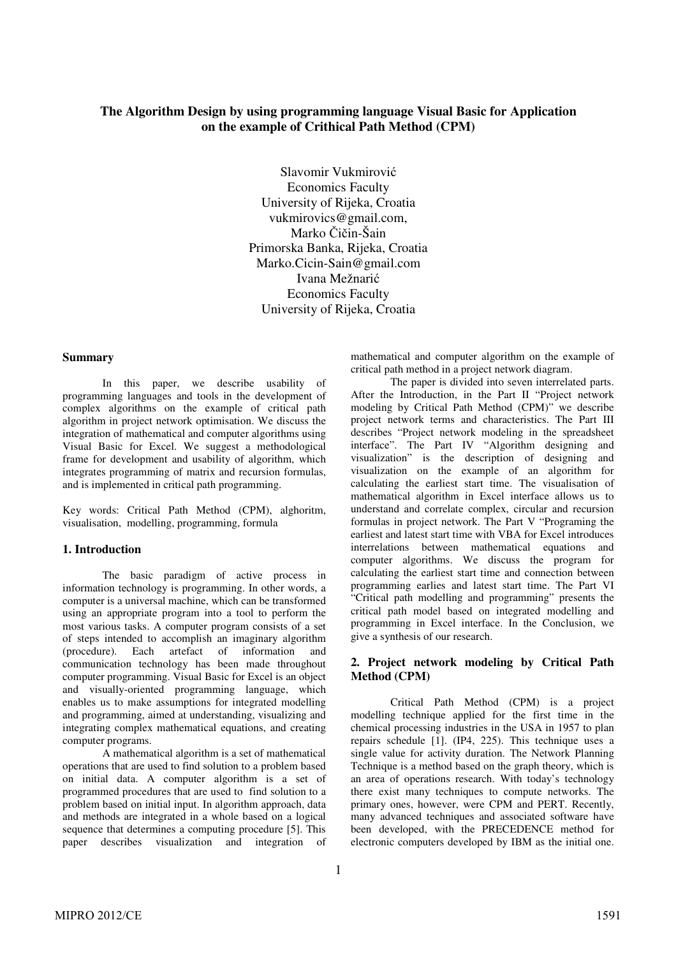## **The Algorithm Design by using programming language Visual Basic for Application on the example of Crithical Path Method (CPM)**

Slavomir Vukmirović Economics Faculty University of Rijeka, Croatia vukmirovics@gmail.com, Marko Čičin-Šain Primorska Banka, Rijeka, Croatia Marko.Cicin-Sain@gmail.com Ivana Mežnarić Economics Faculty University of Rijeka, Croatia

#### **Summary**

In this paper, we describe usability of programming languages and tools in the development of complex algorithms on the example of critical path algorithm in project network optimisation. We discuss the integration of mathematical and computer algorithms using Visual Basic for Excel. We suggest a methodological frame for development and usability of algorithm, which integrates programming of matrix and recursion formulas, and is implemented in critical path programming.

Key words: Critical Path Method (CPM), alghoritm, visualisation, modelling, programming, formula

#### **1. Introduction**

The basic paradigm of active process in information technology is programming. In other words, a computer is a universal machine, which can be transformed using an appropriate program into a tool to perform the most various tasks. A computer program consists of a set of steps intended to accomplish an imaginary algorithm (procedure). Each artefact of information and communication technology has been made throughout computer programming. Visual Basic for Excel is an object and visually-oriented programming language, which enables us to make assumptions for integrated modelling and programming, aimed at understanding, visualizing and integrating complex mathematical equations, and creating computer programs.

A mathematical algorithm is a set of mathematical operations that are used to find solution to a problem based on initial data. A computer algorithm is a set of programmed procedures that are used to find solution to a problem based on initial input. In algorithm approach, data and methods are integrated in a whole based on a logical sequence that determines a computing procedure [5]. This paper describes visualization and integration of mathematical and computer algorithm on the example of critical path method in a project network diagram.

The paper is divided into seven interrelated parts. After the Introduction, in the Part II "Project network modeling by Critical Path Method (CPM)" we describe project network terms and characteristics. The Part III describes "Project network modeling in the spreadsheet interface". The Part IV "Algorithm designing and visualization" is the description of designing and visualization on the example of an algorithm for calculating the earliest start time. The visualisation of mathematical algorithm in Excel interface allows us to understand and correlate complex, circular and recursion formulas in project network. The Part V "Programing the earliest and latest start time with VBA for Excel introduces interrelations between mathematical equations and computer algorithms. We discuss the program for calculating the earliest start time and connection between programming earlies and latest start time. The Part VI "Critical path modelling and programming" presents the critical path model based on integrated modelling and programming in Excel interface. In the Conclusion, we give a synthesis of our research.

### **2. Project network modeling by Critical Path Method (CPM)**

Critical Path Method (CPM) is a project modelling technique applied for the first time in the chemical processing industries in the USA in 1957 to plan repairs schedule [1]. (IP4, 225). This technique uses a single value for activity duration. The Network Planning Technique is a method based on the graph theory, which is an area of operations research. With today's technology there exist many techniques to compute networks. The primary ones, however, were CPM and PERT. Recently, many advanced techniques and associated software have been developed, with the PRECEDENCE method for electronic computers developed by IBM as the initial one.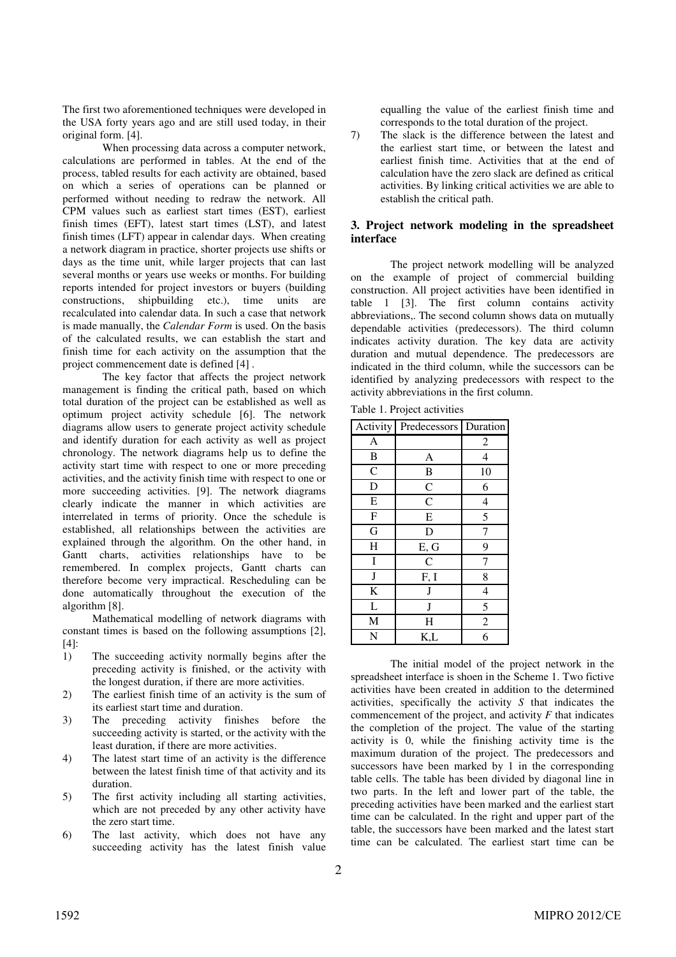The first two aforementioned techniques were developed in the USA forty years ago and are still used today, in their original form. [4].

When processing data across a computer network, calculations are performed in tables. At the end of the process, tabled results for each activity are obtained, based on which a series of operations can be planned or performed without needing to redraw the network. All CPM values such as earliest start times (EST), earliest finish times (EFT), latest start times (LST), and latest finish times (LFT) appear in calendar days. When creating a network diagram in practice, shorter projects use shifts or days as the time unit, while larger projects that can last several months or years use weeks or months. For building reports intended for project investors or buyers (building constructions, shipbuilding etc.), time units are recalculated into calendar data. In such a case that network is made manually, the *Calendar Form* is used. On the basis of the calculated results, we can establish the start and finish time for each activity on the assumption that the project commencement date is defined [4] .

The key factor that affects the project network management is finding the critical path, based on which total duration of the project can be established as well as optimum project activity schedule [6]. The network diagrams allow users to generate project activity schedule and identify duration for each activity as well as project chronology. The network diagrams help us to define the activity start time with respect to one or more preceding activities, and the activity finish time with respect to one or more succeeding activities. [9]. The network diagrams clearly indicate the manner in which activities are interrelated in terms of priority. Once the schedule is established, all relationships between the activities are explained through the algorithm. On the other hand, in Gantt charts, activities relationships have to be remembered. In complex projects, Gantt charts can therefore become very impractical. Rescheduling can be done automatically throughout the execution of the algorithm [8].

Mathematical modelling of network diagrams with constant times is based on the following assumptions [2], [4]:

- 1) The succeeding activity normally begins after the preceding activity is finished, or the activity with the longest duration, if there are more activities.
- 2) The earliest finish time of an activity is the sum of its earliest start time and duration.
- 3) The preceding activity finishes before the succeeding activity is started, or the activity with the least duration, if there are more activities.
- 4) The latest start time of an activity is the difference between the latest finish time of that activity and its duration.
- 5) The first activity including all starting activities, which are not preceded by any other activity have the zero start time.
- 6) The last activity, which does not have any succeeding activity has the latest finish value

equalling the value of the earliest finish time and corresponds to the total duration of the project.

7) The slack is the difference between the latest and the earliest start time, or between the latest and earliest finish time. Activities that at the end of calculation have the zero slack are defined as critical activities. By linking critical activities we are able to establish the critical path.

## **3. Project network modeling in the spreadsheet interface**

The project network modelling will be analyzed on the example of project of commercial building construction. All project activities have been identified in table 1 [3]. The first column contains activity abbreviations,. The second column shows data on mutually dependable activities (predecessors). The third column indicates activity duration. The key data are activity duration and mutual dependence. The predecessors are indicated in the third column, while the successors can be identified by analyzing predecessors with respect to the activity abbreviations in the first column.

|  |  |  | Table 1. Project activities |
|--|--|--|-----------------------------|
|--|--|--|-----------------------------|

| Activity       | Predecessors       | Duration                 |
|----------------|--------------------|--------------------------|
| A              |                    | $\overline{c}$           |
| B              | A                  | $\overline{4}$           |
| $\mathsf{C}$   | B                  | 10                       |
| D              | $\overline{C}$     | 6                        |
| E              | $\overline{\rm c}$ | $\overline{4}$           |
| $\overline{F}$ | E                  | 5                        |
| G              | D                  | 7                        |
| H              | E, G               | 9                        |
| $\bf I$        | $\mathsf{C}$       | 7                        |
| $\bf J$        | F, I               | 8                        |
| K              | J                  | $\overline{\mathcal{L}}$ |
| L              | J                  | 5                        |
| M              | H                  | $\overline{\mathbf{c}}$  |
| N              | K,L                | 6                        |

The initial model of the project network in the spreadsheet interface is shoen in the Scheme 1. Two fictive activities have been created in addition to the determined activities, specifically the activity *S* that indicates the commencement of the project, and activity *F* that indicates the completion of the project. The value of the starting activity is 0, while the finishing activity time is the maximum duration of the project. The predecessors and successors have been marked by 1 in the corresponding table cells. The table has been divided by diagonal line in two parts. In the left and lower part of the table, the preceding activities have been marked and the earliest start time can be calculated. In the right and upper part of the table, the successors have been marked and the latest start time can be calculated. The earliest start time can be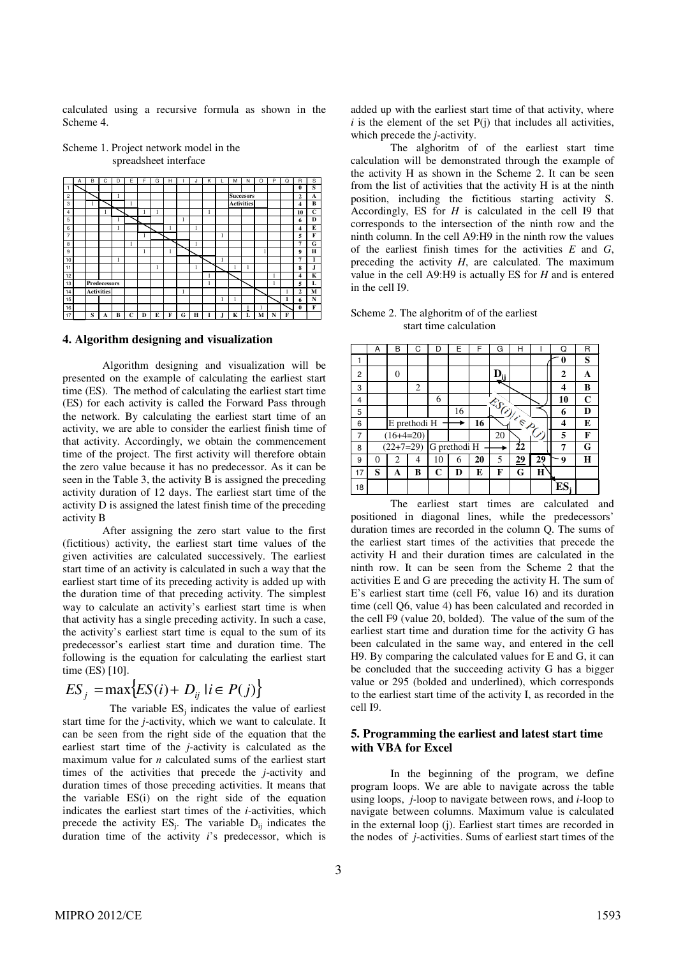calculated using a recursive formula as shown in the Scheme 4.

|                | A | B | Ċ                   | D | Е | F | G | н |   |   | К |   | м                 | Ν | O | P | Q | R              | s                       |
|----------------|---|---|---------------------|---|---|---|---|---|---|---|---|---|-------------------|---|---|---|---|----------------|-------------------------|
| 1              |   |   |                     |   |   |   |   |   |   |   |   |   |                   |   |   |   |   | $\bf{0}$       | $\overline{\mathbf{s}}$ |
| 2              |   |   |                     | ı |   |   |   |   |   |   |   |   | <b>Succesors</b>  |   |   |   |   | $\overline{2}$ | A                       |
| 3              |   |   |                     |   | 1 |   |   |   |   |   |   |   | <b>Activities</b> |   |   |   |   | 4              | B                       |
| 4              |   |   |                     |   |   |   |   |   |   |   | 1 |   |                   |   |   |   |   | 10             | C                       |
| 5              |   |   |                     |   |   |   |   |   | 1 |   |   |   |                   |   |   |   |   | 6              | D                       |
| 6              |   |   |                     | 1 |   |   |   | п |   | 1 |   |   |                   |   |   |   |   | 4              | E                       |
| $\overline{7}$ |   |   |                     |   |   | ı |   |   |   |   |   | 1 |                   |   |   |   |   | 5              | F                       |
| 8              |   |   |                     |   | 1 |   |   |   |   | ı |   |   |                   |   |   |   |   | 7              | G                       |
| 9              |   |   |                     |   |   | ı |   | ш |   |   |   |   |                   |   |   |   |   | 9              | Н                       |
| 10             |   |   |                     | ı |   |   |   |   |   | е |   | H |                   |   |   |   |   | 7              | I                       |
| 11             |   |   |                     |   |   |   | ı |   |   |   |   |   |                   | 1 |   |   |   | 8              | J                       |
| 12             |   |   |                     |   |   |   |   |   |   |   |   |   |                   |   |   |   |   | 4              | K                       |
| 13             |   |   | <b>Predecessors</b> |   |   |   |   |   |   |   | 1 |   |                   |   |   | 1 |   | 5              | L                       |
| 14             |   |   | <b>Activities</b>   |   |   |   |   |   | 1 |   |   |   |                   |   |   |   | л | $\overline{2}$ | М                       |
| 15             |   |   |                     |   |   |   |   |   |   |   |   | 1 | L                 |   |   |   | 1 | 6              | N                       |
| 16             |   |   |                     |   |   |   |   |   |   |   |   |   |                   | 1 |   |   |   | $\theta$       | F                       |
| 17             |   | S | A                   | в | Ċ | Đ | E | F | G | н |   | л | K                 | L | м | N | F |                |                         |

Scheme 1. Project network model in the spreadsheet interface

#### **4. Algorithm designing and visualization**

Algorithm designing and visualization will be presented on the example of calculating the earliest start time (ES). The method of calculating the earliest start time (ES) for each activity is called the Forward Pass through the network. By calculating the earliest start time of an activity, we are able to consider the earliest finish time of that activity. Accordingly, we obtain the commencement time of the project. The first activity will therefore obtain the zero value because it has no predecessor. As it can be seen in the Table 3, the activity B is assigned the preceding activity duration of 12 days. The earliest start time of the activity D is assigned the latest finish time of the preceding activity B

After assigning the zero start value to the first (fictitious) activity, the earliest start time values of the given activities are calculated successively. The earliest start time of an activity is calculated in such a way that the earliest start time of its preceding activity is added up with the duration time of that preceding activity. The simplest way to calculate an activity's earliest start time is when that activity has a single preceding activity. In such a case, the activity's earliest start time is equal to the sum of its predecessor's earliest start time and duration time. The following is the equation for calculating the earliest start time (ES) [10].

$$
ES_j = \max\{ES(i) + D_{ij} \mid i \in P(j)\}
$$

The variable  $ES_j$  indicates the value of earliest start time for the *j*-activity, which we want to calculate. It can be seen from the right side of the equation that the earliest start time of the *j*-activity is calculated as the maximum value for *n* calculated sums of the earliest start times of the activities that precede the *j*-activity and duration times of those preceding activities. It means that the variable ES(i) on the right side of the equation indicates the earliest start times of the *i*-activities, which precede the activity  $ES_i$ . The variable  $D_{ij}$  indicates the duration time of the activity *i*'s predecessor, which is

added up with the earliest start time of that activity, where  $i$  is the element of the set  $P(j)$  that includes all activities, which precede the *j*-activity.

The alghoritm of of the earliest start time calculation will be demonstrated through the example of the activity H as shown in the Scheme 2. It can be seen from the list of activities that the activity H is at the ninth position, including the fictitious starting activity S. Accordingly, ES for *H* is calculated in the cell I9 that corresponds to the intersection of the ninth row and the ninth column. In the cell A9:H9 in the ninth row the values of the earliest finish times for the activities *E* and *G*, preceding the activity *H*, are calculated. The maximum value in the cell A9:H9 is actually ES for *H* and is entered in the cell I9.

Scheme 2. The alghoritm of of the earliest start time calculation

|    | А | B           |              | D  | F            | F  | G             | н                             |    | u  | R |
|----|---|-------------|--------------|----|--------------|----|---------------|-------------------------------|----|----|---|
| 1  |   |             |              |    |              |    |               |                               |    |    | S |
| 2  |   | 0           |              |    |              |    | $D_{ji}$      |                               |    | 2  | A |
| 3  |   |             | 2            |    |              |    |               |                               |    | 4  | в |
| 4  |   |             |              | 6  |              |    | <b>ESUITE</b> |                               |    | 10 | C |
| 5  |   |             |              |    | 16           |    |               |                               |    | 6  | D |
| 6  |   |             | E prethodi H |    |              | 16 |               | $\mathfrak{S}_{\mathfrak{D}}$ |    | 4  | E |
| 7  |   | $(16+4=20)$ |              |    |              |    | 20            |                               | Š, | 5  | F |
| 8  |   | $(22+7=29)$ |              |    | G prethodi H |    |               | 22                            |    | 7  | G |
| 9  | 0 | 2           | 4            | 10 | 6            | 20 | 5             | 29                            | 29 | 9  | Н |
| 17 | S | A           | B            | C  | D            | E  | F             | G                             | Н  |    |   |
| 18 |   |             |              |    |              |    |               |                               |    | ES |   |

The earliest start times are calculated and positioned in diagonal lines, while the predecessors' duration times are recorded in the column Q. The sums of the earliest start times of the activities that precede the activity H and their duration times are calculated in the ninth row. It can be seen from the Scheme 2 that the activities E and G are preceding the activity H. The sum of E's earliest start time (cell F6, value 16) and its duration time (cell Q6, value 4) has been calculated and recorded in the cell F9 (value 20, bolded). The value of the sum of the earliest start time and duration time for the activity G has been calculated in the same way, and entered in the cell H9. By comparing the calculated values for E and G, it can be concluded that the succeeding activity G has a bigger value or 295 (bolded and underlined), which corresponds to the earliest start time of the activity I, as recorded in the cell I9.

#### **5. Programming the earliest and latest start time with VBA for Excel**

In the beginning of the program, we define program loops. We are able to navigate across the table using loops, *j-*loop to navigate between rows, and *i-*loop to navigate between columns. Maximum value is calculated in the external loop (j). Earliest start times are recorded in the nodes of *j*-activities. Sums of earliest start times of the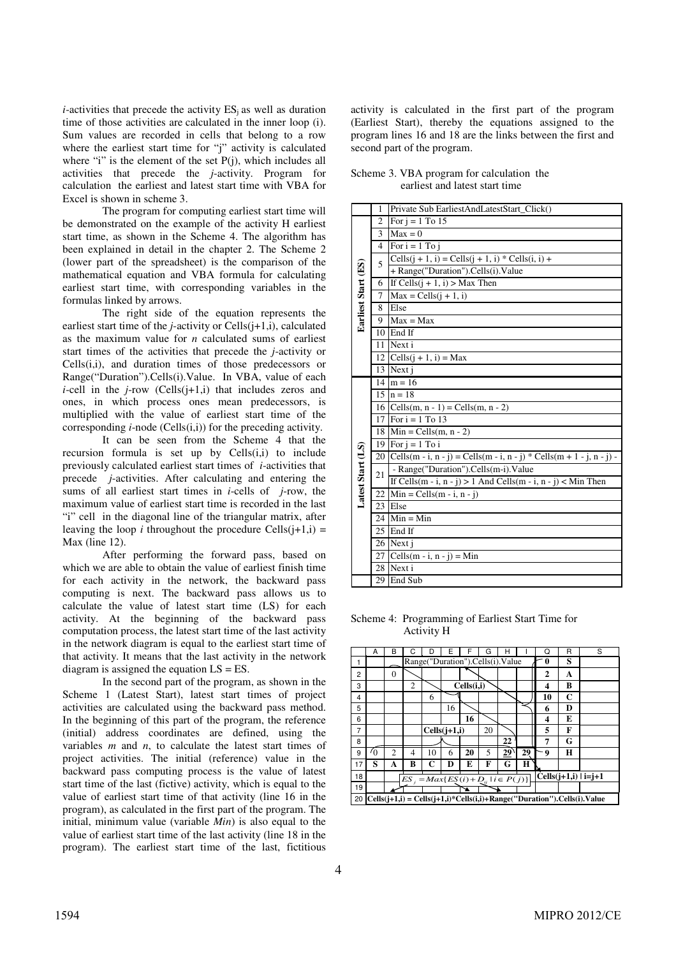$i$ -activities that precede the activity  $ES_i$  as well as duration time of those activities are calculated in the inner loop (i). Sum values are recorded in cells that belong to a row where the earliest start time for "j" activity is calculated where "i" is the element of the set P(j), which includes all activities that precede the *j*-activity. Program for calculation the earliest and latest start time with VBA for Excel is shown in scheme 3.

The program for computing earliest start time will be demonstrated on the example of the activity H earliest start time, as shown in the Scheme 4. The algorithm has been explained in detail in the chapter 2. The Scheme 2 (lower part of the spreadsheet) is the comparison of the mathematical equation and VBA formula for calculating earliest start time, with corresponding variables in the formulas linked by arrows.

The right side of the equation represents the earliest start time of the *j*-activity or Cells $(i+1,i)$ , calculated as the maximum value for *n* calculated sums of earliest start times of the activities that precede the *j*-activity or Cells(i,i), and duration times of those predecessors or Range("Duration").Cells(i).Value. In VBA, value of each *i*-cell in the *j*-row (Cells(j+1,i) that includes zeros and ones, in which process ones mean predecessors, is multiplied with the value of earliest start time of the corresponding *i*-node (Cells(i,i)) for the preceding activity.

It can be seen from the Scheme 4 that the recursion formula is set up by  $Cells(i,i)$  to include previously calculated earliest start times of *i*-activities that precede *j*-activities. After calculating and entering the sums of all earliest start times in *i*-cells of *j*-row, the maximum value of earliest start time is recorded in the last "i" cell in the diagonal line of the triangular matrix, after leaving the loop *i* throughout the procedure Cells $(i+1,i)$  = Max (line 12).

After performing the forward pass, based on which we are able to obtain the value of earliest finish time for each activity in the network, the backward pass computing is next. The backward pass allows us to calculate the value of latest start time (LS) for each activity. At the beginning of the backward pass computation process, the latest start time of the last activity in the network diagram is equal to the earliest start time of that activity. It means that the last activity in the network diagram is assigned the equation LS = ES.

In the second part of the program, as shown in the Scheme 1 (Latest Start), latest start times of project activities are calculated using the backward pass method. In the beginning of this part of the program, the reference (initial) address coordinates are defined, using the variables *m* and *n*, to calculate the latest start times of project activities. The initial (reference) value in the backward pass computing process is the value of latest start time of the last (fictive) activity, which is equal to the value of earliest start time of that activity (line 16 in the program), as calculated in the first part of the program. The initial, minimum value (variable *Min*) is also equal to the value of earliest start time of the last activity (line 18 in the program). The earliest start time of the last, fictitious

activity is calculated in the first part of the program (Earliest Start), thereby the equations assigned to the program lines 16 and 18 are the links between the first and second part of the program.

Scheme 3. VBA program for calculation the earliest and latest start time

|                     | 1              | Private Sub EarliestAndLatestStart_Click()                            |
|---------------------|----------------|-----------------------------------------------------------------------|
|                     | 2              | For $i = 1$ To 15                                                     |
|                     | 3              | $Max = 0$                                                             |
|                     | $\overline{4}$ | For $i = 1$ To j                                                      |
|                     | 5              | Cells $(j + 1, i)$ = Cells $(j + 1, i)$ * Cells $(i, i)$ +            |
|                     |                | + Range("Duration").Cells(i).Value                                    |
|                     | 6              | If Cells $(i + 1, i) > Max$ Then                                      |
| Earliest Start (ES) | $\overline{7}$ | $Max = Cells(i + 1, i)$                                               |
|                     | 8              | Else                                                                  |
|                     | 9              | $Max = Max$                                                           |
|                     | 10             | End If                                                                |
|                     | 11             | Next i                                                                |
|                     | 12             | Cells $(i + 1, i) = Max$                                              |
|                     | 13             | Next i                                                                |
|                     | 14             | $m = 16$                                                              |
|                     |                | $15 \ln = 18$                                                         |
|                     |                | 16   Cells(m, n - 1) = Cells(m, n - 2)                                |
|                     | 17             | For $i = 1$ To 13                                                     |
|                     |                | 18 Min = Cells(m, n - 2)                                              |
|                     |                | 19 For $i = 1$ To i                                                   |
| Latest Start (LS)   | 20             | Cells(m - i, n - j) = Cells(m - i, n - j) * Cells(m + 1 - j, n - j) - |
|                     | 21             | - Range("Duration").Cells(m-i).Value                                  |
|                     |                | If Cells(m - i, n - j) > 1 And Cells(m - i, n - j) < Min Then         |
|                     | 22             | $Min = Cells(m - i, n - j)$                                           |
|                     |                | 23 Else                                                               |
|                     |                | $24$ Min = Min                                                        |
|                     | 25             | End If                                                                |
|                     |                | 26 Next j                                                             |
|                     | 27             | Cells(m - i, n - j) = Min                                             |
|                     |                | 28 Next i                                                             |
|                     |                | 29 End Sub                                                            |

Scheme 4: Programming of Earliest Start Time for Activity H

|                | А                                                                            | B              |                |                                                 |                |            | G  |    |                           | O  | R | S |
|----------------|------------------------------------------------------------------------------|----------------|----------------|-------------------------------------------------|----------------|------------|----|----|---------------------------|----|---|---|
| 1              |                                                                              |                |                | Range("Duration").Cells(i).Value                |                |            |    |    |                           | 0  | s |   |
| 2              |                                                                              | $\theta$       |                |                                                 |                |            |    |    |                           | 2  | A |   |
| 3              |                                                                              |                | $\overline{2}$ |                                                 |                | Cells(i,i) |    |    |                           | 4  | в |   |
| $\overline{4}$ |                                                                              |                |                | 6                                               |                |            |    |    |                           | 10 | C |   |
| 5              |                                                                              |                |                |                                                 | 16             |            |    |    |                           | 6  | D |   |
| 6              |                                                                              |                |                |                                                 |                | 16         |    |    |                           | 4  | Е |   |
| 7              |                                                                              |                |                |                                                 | $Cells(i+1,i)$ |            | 20 |    |                           | 5  | F |   |
| 8              |                                                                              |                |                |                                                 |                |            |    | 22 |                           | 7  | G |   |
| 9              | O.                                                                           | $\overline{c}$ | 4              | 10                                              | 6              | 20         | 5  | 29 | 29                        | 9  | н |   |
| 17             | S                                                                            | A              | B              | C                                               | D              | E          | F  | G  | Н                         |    |   |   |
| 18             |                                                                              |                |                | $ES_i = Max\{ES(i) + D_{ii} \mid i \in P(j)\}\$ |                |            |    |    | Cells $(i+1,i)$   $i=j+1$ |    |   |   |
| 19             |                                                                              |                |                |                                                 |                |            |    |    |                           |    |   |   |
|                | $20$ Cells(j+1,i) = Cells(j+1,i)*Cells(i,i)+Range("Duration").Cells(i).Value |                |                |                                                 |                |            |    |    |                           |    |   |   |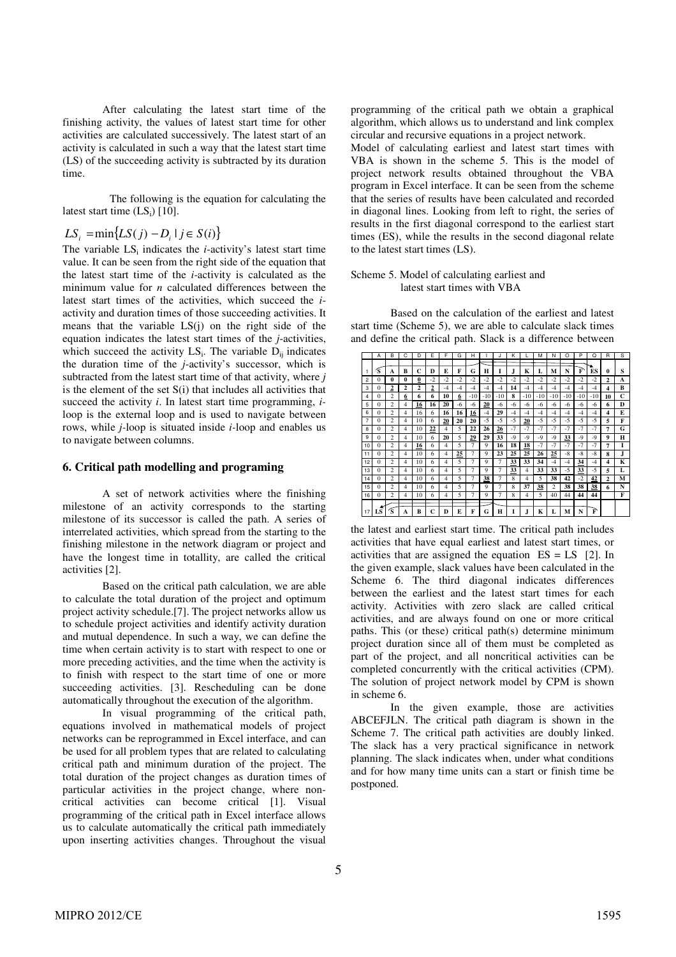After calculating the latest start time of the finishing activity, the values of latest start time for other activities are calculated successively. The latest start of an activity is calculated in such a way that the latest start time (LS) of the succeeding activity is subtracted by its duration time.

 The following is the equation for calculating the latest start time  $(LS_i)$  [10].

# *LS*<sub>*i*</sub> =  $min{LS(j) - D_i | j \in S(i)}$

The variable  $LS_i$  indicates the *i*-activity's latest start time value. It can be seen from the right side of the equation that the latest start time of the *i*-activity is calculated as the minimum value for *n* calculated differences between the latest start times of the activities, which succeed the *i*activity and duration times of those succeeding activities. It means that the variable LS(j) on the right side of the equation indicates the latest start times of the *j*-activities, which succeed the activity  $LS_i$ . The variable  $D_{ij}$  indicates the duration time of the *j*-activity's successor, which is subtracted from the latest start time of that activity, where *j*  is the element of the set S(i) that includes all activities that succeed the activity *i*. In latest start time programming, *i*loop is the external loop and is used to navigate between rows, while *j-*loop is situated inside *i-*loop and enables us to navigate between columns.

#### **6. Critical path modelling and programing**

A set of network activities where the finishing milestone of an activity corresponds to the starting milestone of its successor is called the path. A series of interrelated activities, which spread from the starting to the finishing milestone in the network diagram or project and have the longest time in totallity, are called the critical activities [2].

Based on the critical path calculation, we are able to calculate the total duration of the project and optimum project activity schedule.[7]. The project networks allow us to schedule project activities and identify activity duration and mutual dependence. In such a way, we can define the time when certain activity is to start with respect to one or more preceding activities, and the time when the activity is to finish with respect to the start time of one or more succeeding activities. [3]. Rescheduling can be done automatically throughout the execution of the algorithm.

In visual programming of the critical path, equations involved in mathematical models of project networks can be reprogrammed in Excel interface, and can be used for all problem types that are related to calculating critical path and minimum duration of the project. The total duration of the project changes as duration times of particular activities in the project change, where noncritical activities can become critical [1]. Visual programming of the critical path in Excel interface allows us to calculate automatically the critical path immediately upon inserting activities changes. Throughout the visual programming of the critical path we obtain a graphical algorithm, which allows us to understand and link complex circular and recursive equations in a project network.

Model of calculating earliest and latest start times with VBA is shown in the scheme 5. This is the model of project network results obtained throughout the VBA program in Excel interface. It can be seen from the scheme that the series of results have been calculated and recorded in diagonal lines. Looking from left to right, the series of results in the first diagonal correspond to the earliest start times (ES), while the results in the second diagonal relate to the latest start times (LS).

#### Scheme 5. Model of calculating earliest and latest start times with VBA

Based on the calculation of the earliest and latest start time (Scheme 5), we are able to calculate slack times and define the critical path. Slack is a difference between

|    | A        | <sub>B</sub>            | C | D  | F              | F    | G    | н     |             |                | к    |                | М     | N                       | $\Omega$ | P     | Ω    | $\overline{R}$          | s |
|----|----------|-------------------------|---|----|----------------|------|------|-------|-------------|----------------|------|----------------|-------|-------------------------|----------|-------|------|-------------------------|---|
|    |          |                         |   |    |                |      |      |       |             |                |      |                |       |                         |          |       |      |                         |   |
|    | Ś.       | A                       | B | C  | D              | E    | F    | G     | н           | 1              | J    | K              | L     | м                       | N        | F     | ES   | 0                       | S |
| 2  | $\Omega$ | $\theta$                | 0 | 0  | $-2$           | $-2$ | $-2$ | $-2$  | $-2$        | $-2$           | $-2$ | $-2$           | $-2$  | $-2$                    | $-2$     | $-2$  | $-2$ | $\overline{2}$          | A |
| 3  | $\Omega$ | 2                       | 2 | 2  | $\overline{2}$ | -4   | -4   | $-4$  | $-4$        | $-4$           | 14   | $-4$           | -4    | -4                      | $-4$     | -4    | $-4$ | 4                       | B |
| 4  | 0        | $\overline{\mathbf{c}}$ | 6 | 6  | 6              | 10   | 6    | $-10$ | $-10$       | $-10$          | 8    | $-10$          | $-10$ | $-10$                   | $-10$    | $-10$ | -10  | 10                      | C |
| 5  | 0        | $\overline{\mathbf{c}}$ | 4 | 16 | 16             | 20   | -6   | -6    | 20          | -6             | -6   | -6             | -6    | -6                      | -6       | -6    | -6   | 6                       | D |
| 6  | $\Omega$ | 2                       | 4 | 16 | 6              | 16   | 16   | 16    | $-4$        | 29             | $-4$ | $-4$           | -4    | -4                      | $-4$     | -4    | $-4$ | 4                       | E |
| 7  | 0        | $\overline{\mathbf{c}}$ | 4 | 10 | 6              | 20   | 20   | 20    | $-5$        | $-5$           | $-5$ | 20             | $-5$  | $-5$                    | $-5$     | $-5$  | $-5$ | 5                       | F |
| 8  | $\Omega$ | $\overline{\mathbf{c}}$ | 4 | 10 | <u>22</u>      | 4    | 5    | 22    | 26          | 26             | $-7$ | $-7$           | $-7$  | $-7$                    | $-7$     | $-7$  | $-7$ | 7                       | G |
| 9  | $\Omega$ | $\overline{\mathbf{c}}$ | 4 | 10 | 6              | 20   | 5    | 29    | 29          | 33             | $-9$ | $-9$           | $-9$  | $-9$                    | 33       | $-9$  | $-9$ | 9                       | н |
| 10 | 0        | $\overline{\mathbf{c}}$ | 4 | 16 | 6              | 4    | 5    | 7     | $\mathbf Q$ | 16             | 18   | 18             | $-7$  | $-7$                    | $-7$     | $-7$  | $-7$ | 7                       | T |
| 11 | $\Omega$ | 2                       | 4 | 10 | 6              | 4    | 25   | 7     | 9           | 23             | 25   | 25             | 26    | 25                      | $-8$     | -8    | $-8$ | 8                       | J |
| 12 | 0        | $\overline{\mathbf{c}}$ | 4 | 10 | 6              | 4    | 5    | 7     | $\mathbf Q$ | 7              | 33   | 33             | 34    | $-4$                    | $-4$     | 34    | $-4$ | 4                       | K |
| 13 | 0        | 2                       | 4 | 10 | 6              | 4    | 5    |       | Q           | $\overline{7}$ | 33   | $\overline{4}$ | 33    | 33                      | $-5$     | 33    | $-5$ | 5                       | L |
| 14 | $\Omega$ | 2                       | 4 | 10 | 6              | 4    | 5    | 7     | 38          | 7              | 8    | $\overline{4}$ | 5     | 38                      | 42       | $-2$  | 42   | $\overline{\mathbf{c}}$ | M |
| 15 | 0        | $\overline{\mathbf{c}}$ | 4 | 10 | 6              | 4    | 5    | 7     | 9           | 7              | 8    | 37             | 38    | $\overline{\mathbf{c}}$ | 38       | 38    | 38   | 6                       | N |
| 16 | $\Omega$ | $\overline{\mathbf{c}}$ | 4 | 10 | 6              | 4    | 5    | 7     | $\mathbf Q$ | 7              | 8    | 4              | 5     | 40                      | 44       | 44    | 44   |                         | F |
|    |          |                         |   |    |                |      |      |       |             |                |      |                |       |                         |          |       |      |                         |   |
| 17 | LS       | s                       | А | B  | С              | D    | E    | F     | G           | н              | T    | .T             | K     |                         | М        | N     | F    |                         |   |

the latest and earliest start time. The critical path includes activities that have equal earliest and latest start times, or activities that are assigned the equation  $ES = LS$  [2]. In the given example, slack values have been calculated in the Scheme 6. The third diagonal indicates differences between the earliest and the latest start times for each activity. Activities with zero slack are called critical activities, and are always found on one or more critical paths. This (or these) critical path(s) determine minimum project duration since all of them must be completed as part of the project, and all noncritical activities can be completed concurrently with the critical activities (CPM). The solution of project network model by CPM is shown in scheme 6.

In the given example, those are activities ABCEFJLN. The critical path diagram is shown in the Scheme 7. The critical path activities are doubly linked. The slack has a very practical significance in network planning. The slack indicates when, under what conditions and for how many time units can a start or finish time be postponed.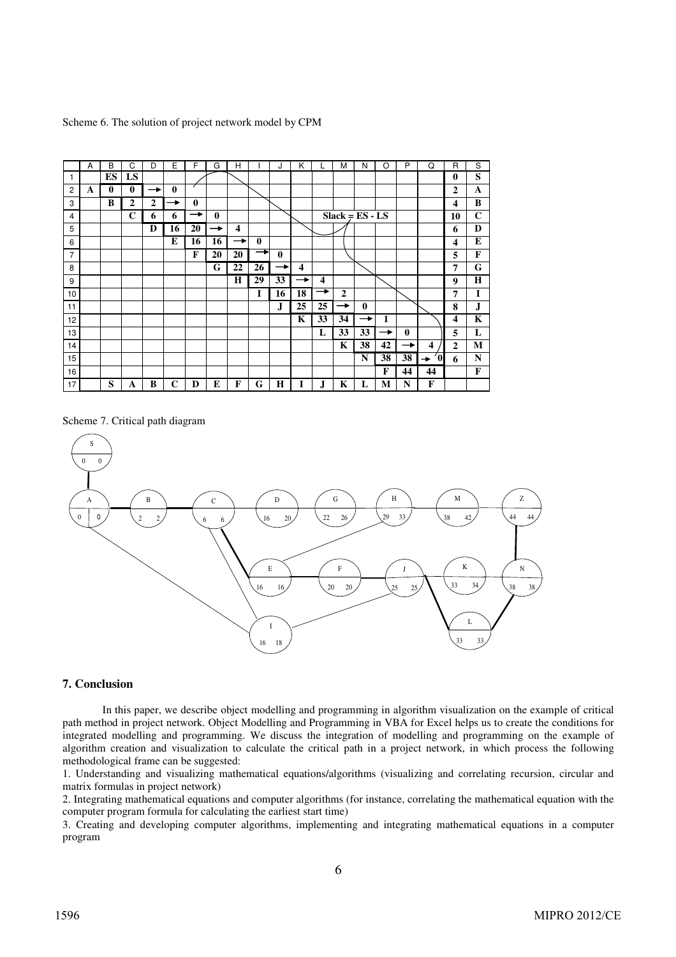|  |  |  |  | Scheme 6. The solution of project network model by CPM |
|--|--|--|--|--------------------------------------------------------|
|  |  |  |  |                                                        |

|                | A | B        | C              | D | E            | F            | G             | н                       |              | J        | K                       |                         | М              | N                 | $\Omega$ | P        | Q                       | R                       | S           |
|----------------|---|----------|----------------|---|--------------|--------------|---------------|-------------------------|--------------|----------|-------------------------|-------------------------|----------------|-------------------|----------|----------|-------------------------|-------------------------|-------------|
| 1              |   | ES       | LS             |   |              |              |               |                         |              |          |                         |                         |                |                   |          |          |                         | $\bf{0}$                | S           |
| $\overline{c}$ | A | $\bf{0}$ | $\bf{0}$       | → | $\mathbf{0}$ |              |               |                         |              |          |                         |                         |                |                   |          |          |                         | $\overline{2}$          | $\mathbf A$ |
| 3              |   | B        | $\overline{2}$ | 2 | →            | $\mathbf{0}$ |               |                         |              |          |                         |                         |                |                   |          |          |                         | 4                       | B           |
| 4              |   |          | C              | 6 | 6            | →            | $\mathbf{0}$  |                         |              |          |                         |                         |                | $Slack = ES - LS$ |          |          |                         | 10                      | $\mathbf C$ |
| 5              |   |          |                | D | 16           | 20           | $\rightarrow$ | $\overline{\mathbf{4}}$ |              |          |                         |                         |                |                   |          |          |                         | 6                       | D           |
| 6              |   |          |                |   | E            | 16           | 16            | →                       | $\mathbf{0}$ |          |                         |                         |                |                   |          |          |                         | $\overline{\mathbf{4}}$ | E           |
| $\overline{7}$ |   |          |                |   |              | F            | 20            | 20                      | →            | $\bf{0}$ |                         |                         |                |                   |          |          |                         | 5                       | F           |
| 8              |   |          |                |   |              |              | G             | 22                      | 26           |          | $\overline{\mathbf{4}}$ |                         |                |                   |          |          |                         | 7                       | G           |
| 9              |   |          |                |   |              |              |               | H                       | 29           | 33       | $\rightarrow$           | $\overline{\mathbf{4}}$ |                |                   |          |          |                         | 9                       | H           |
| 10             |   |          |                |   |              |              |               |                         | 1            | 16       | 18                      | →                       | $\overline{2}$ |                   |          |          |                         | 7                       | I           |
| 11             |   |          |                |   |              |              |               |                         |              | J.       | 25                      | 25                      | →              | $\mathbf 0$       |          |          |                         | 8                       | J           |
| 12             |   |          |                |   |              |              |               |                         |              |          | K                       | 33                      | 34             | $\rightarrow$     | 1        |          |                         | 4                       | $\mathbf K$ |
| 13             |   |          |                |   |              |              |               |                         |              |          |                         | L                       | 33             | 33                | →        | $\bf{0}$ |                         | 5                       | L           |
| 14             |   |          |                |   |              |              |               |                         |              |          |                         |                         | K              | 38                | 42       | →        | $\overline{\mathbf{4}}$ | $\mathbf{2}$            | М           |
| 15             |   |          |                |   |              |              |               |                         |              |          |                         |                         |                | N                 | 38       | 38       | Ó<br>→                  | 6                       | N           |
| 16             |   |          |                |   |              |              |               |                         |              |          |                         |                         |                |                   | F        | 44       | 44                      |                         | F           |
| 17             |   | S        | A              | B | С            | D            | E             | F                       | G            | H        |                         | .J                      | K              | L                 | М        | N        | F                       |                         |             |

Scheme 7. Critical path diagram



## **7. Conclusion**

In this paper, we describe object modelling and programming in algorithm visualization on the example of critical path method in project network. Object Modelling and Programming in VBA for Excel helps us to create the conditions for integrated modelling and programming. We discuss the integration of modelling and programming on the example of algorithm creation and visualization to calculate the critical path in a project network, in which process the following methodological frame can be suggested:

1. Understanding and visualizing mathematical equations/algorithms (visualizing and correlating recursion, circular and matrix formulas in project network)

2. Integrating mathematical equations and computer algorithms (for instance, correlating the mathematical equation with the computer program formula for calculating the earliest start time)

3. Creating and developing computer algorithms, implementing and integrating mathematical equations in a computer program